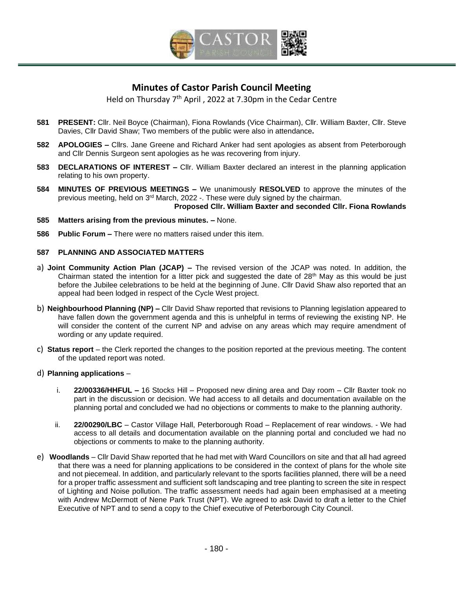

# **Minutes of Castor Parish Council Meeting**

Held on Thursday 7<sup>th</sup> April, 2022 at 7.30pm in the Cedar Centre

- **581 PRESENT:** Cllr. Neil Boyce (Chairman), Fiona Rowlands (Vice Chairman), Cllr. William Baxter, Cllr. Steve Davies, Cllr David Shaw; Two members of the public were also in attendance**.**
- **582 APOLOGIES –** Cllrs. Jane Greene and Richard Anker had sent apologies as absent from Peterborough and Cllr Dennis Surgeon sent apologies as he was recovering from injury.
- **583 DECLARATIONS OF INTEREST –** Cllr. William Baxter declared an interest in the planning application relating to his own property.
- **584 [MINUTES OF PREVIOUS MEETINGS](https://s3-eu-west-1.amazonaws.com/logs.omnibuilder/598d0297-cee8-4444-906d-0399dbc80ec0/2c221843-6c8c-4409-91b4-588eca7f82e9.pdf) –** We unanimously **RESOLVED** to approve the minutes of the previous meeting, held on 3<sup>rd</sup> March, 2022 -. These were duly signed by the chairman.

#### **Proposed Cllr. William Baxter and seconded Cllr. Fiona Rowlands**

- **585 Matters arising from the previous minutes. –** None.
- **586 Public Forum –** There were no matters raised under this item.

#### **587 PLANNING AND ASSOCIATED MATTERS**

- a) **Joint Community Action Plan (JCAP) –** The revised version of the JCAP was noted. In addition, the Chairman stated the intention for a litter pick and suggested the date of  $28<sup>th</sup>$  May as this would be just before the Jubilee celebrations to be held at the beginning of June. Cllr David Shaw also reported that an appeal had been lodged in respect of the Cycle West project.
- b) **Neighbourhood Planning (NP) –** Cllr David Shaw reported that revisions to Planning legislation appeared to have fallen down the government agenda and this is unhelpful in terms of reviewing the existing NP. He will consider the content of the current NP and advise on any areas which may require amendment of wording or any update required.
- c) **Status report** the Clerk reported the changes to the position reported at the previous meeting. The content of the updated report was noted.
- d) **Planning applications**
	- i. **22/00336/HHFUL –** 16 Stocks Hill Proposed new dining area and Day room Cllr Baxter took no part in the discussion or decision. We had access to all details and documentation available on the planning portal and concluded we had no objections or comments to make to the planning authority.
	- ii. **22/00290/LBC** Castor Village Hall, Peterborough Road Replacement of rear windows. We had access to all details and documentation available on the planning portal and concluded we had no objections or comments to make to the planning authority.
- e) **Woodlands** Cllr David Shaw reported that he had met with Ward Councillors on site and that all had agreed that there was a need for planning applications to be considered in the context of plans for the whole site and not piecemeal. In addition, and particularly relevant to the sports facilities planned, there will be a need for a proper traffic assessment and sufficient soft landscaping and tree planting to screen the site in respect of Lighting and Noise pollution. The traffic assessment needs had again been emphasised at a meeting with Andrew McDermott of Nene Park Trust (NPT). We agreed to ask David to draft a letter to the Chief Executive of NPT and to send a copy to the Chief executive of Peterborough City Council.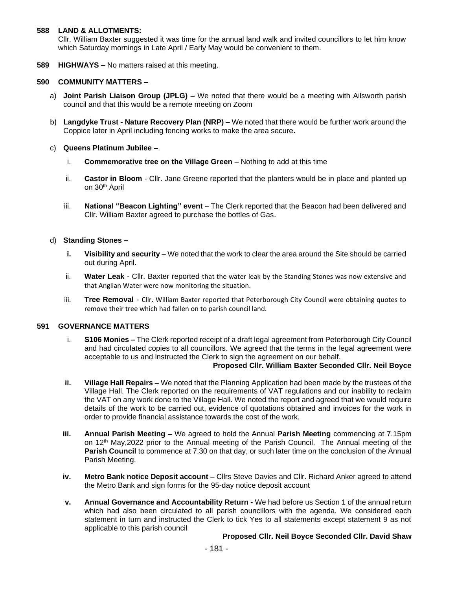# **588 LAND & ALLOTMENTS:**

Cllr. William Baxter suggested it was time for the annual land walk and invited councillors to let him know which Saturday mornings in Late April / Early May would be convenient to them.

**589 HIGHWAYS –** No matters raised at this meeting.

# **590 COMMUNITY MATTERS –**

- a) **Joint Parish Liaison Group (JPLG) –** We noted that there would be a meeting with Ailsworth parish council and that this would be a remote meeting on Zoom
- b) **Langdyke Trust - Nature Recovery Plan (NRP) –** We noted that there would be further work around the Coppice later in April including fencing works to make the area secure**.**
- c) **Queens Platinum Jubilee –**.
	- i. **Commemorative tree on the Village Green** Nothing to add at this time
	- ii. **Castor in Bloom** Cllr. Jane Greene reported that the planters would be in place and planted up on 30<sup>th</sup> April
	- iii. **National "Beacon Lighting" event** The Clerk reported that the Beacon had been delivered and Cllr. William Baxter agreed to purchase the bottles of Gas.

#### d) **Standing Stones –**

- **i. Visibility and security** We noted that the work to clear the area around the Site should be carried out during April.
- ii. **Water Leak** Cllr. Baxter reported that the water leak by the Standing Stones was now extensive and that Anglian Water were now monitoring the situation.
- iii. **Tree Removal** Cllr. William Baxter reported that Peterborough City Council were obtaining quotes to remove their tree which had fallen on to parish council land.

# **591 GOVERNANCE MATTERS**

i. **S106 Monies –** The Clerk reported receipt of a draft legal agreement from Peterborough City Council and had circulated copies to all councillors. We agreed that the terms in the legal agreement were acceptable to us and instructed the Clerk to sign the agreement on our behalf.

#### **Proposed Cllr. William Baxter Seconded Cllr. Neil Boyce**

- **ii. Village Hall Repairs –** We noted that the Planning Application had been made by the trustees of the Village Hall. The Clerk reported on the requirements of VAT regulations and our inability to reclaim the VAT on any work done to the Village Hall. We noted the report and agreed that we would require details of the work to be carried out, evidence of quotations obtained and invoices for the work in order to provide financial assistance towards the cost of the work.
- **iii. Annual Parish Meeting –** We agreed to hold the Annual **Parish Meeting** commencing at 7.15pm on 12th May,2022 prior to the Annual meeting of the Parish Council. The Annual meeting of the **Parish Council** to commence at 7.30 on that day, or such later time on the conclusion of the Annual Parish Meeting.
- **iv. Metro Bank notice Deposit account –** Cllrs Steve Davies and Cllr. Richard Anker agreed to attend the Metro Bank and sign forms for the 95-day notice deposit account
- **v. Annual Governance and Accountability Return -** We had before us Section 1 of the annual return which had also been circulated to all parish councillors with the agenda. We considered each statement in turn and instructed the Clerk to tick Yes to all statements except statement 9 as not applicable to this parish council

#### **Proposed Cllr. Neil Boyce Seconded Cllr. David Shaw**